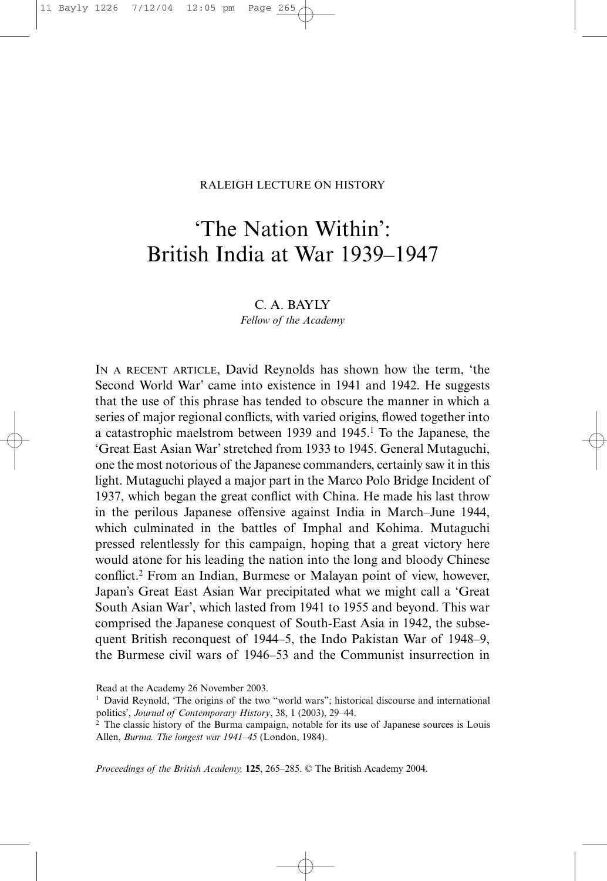## RALEIGH LECTURE ON HISTORY

## 'The Nation Within': British India at War 1939–1947

C. A. BAYLY *Fellow of the Academy*

IN A RECENT ARTICLE, David Reynolds has shown how the term, 'the Second World War' came into existence in 1941 and 1942. He suggests that the use of this phrase has tended to obscure the manner in which a series of major regional conflicts, with varied origins, flowed together into a catastrophic maelstrom between 1939 and 1945.1 To the Japanese, the 'Great East Asian War' stretched from 1933 to 1945. General Mutaguchi, one the most notorious of the Japanese commanders, certainly saw it in this light. Mutaguchi played a major part in the Marco Polo Bridge Incident of 1937, which began the great conflict with China. He made his last throw in the perilous Japanese offensive against India in March–June 1944, which culminated in the battles of Imphal and Kohima. Mutaguchi pressed relentlessly for this campaign, hoping that a great victory here would atone for his leading the nation into the long and bloody Chinese conflict.2 From an Indian, Burmese or Malayan point of view, however, Japan's Great East Asian War precipitated what we might call a 'Great South Asian War', which lasted from 1941 to 1955 and beyond. This war comprised the Japanese conquest of South-East Asia in 1942, the subsequent British reconquest of 1944–5, the Indo Pakistan War of 1948–9, the Burmese civil wars of 1946–53 and the Communist insurrection in

*Proceedings of the British Academy,* **125**, 265–285. © The British Academy 2004.

Read at the Academy 26 November 2003.

<sup>&</sup>lt;sup>1</sup> David Reynold, 'The origins of the two "world wars"; historical discourse and international politics', *Journal of Contemporary History*, 38, 1 (2003), 29–44.

<sup>&</sup>lt;sup>2</sup> The classic history of the Burma campaign, notable for its use of Japanese sources is Louis Allen, *Burma. The longest war 1941–45* (London, 1984).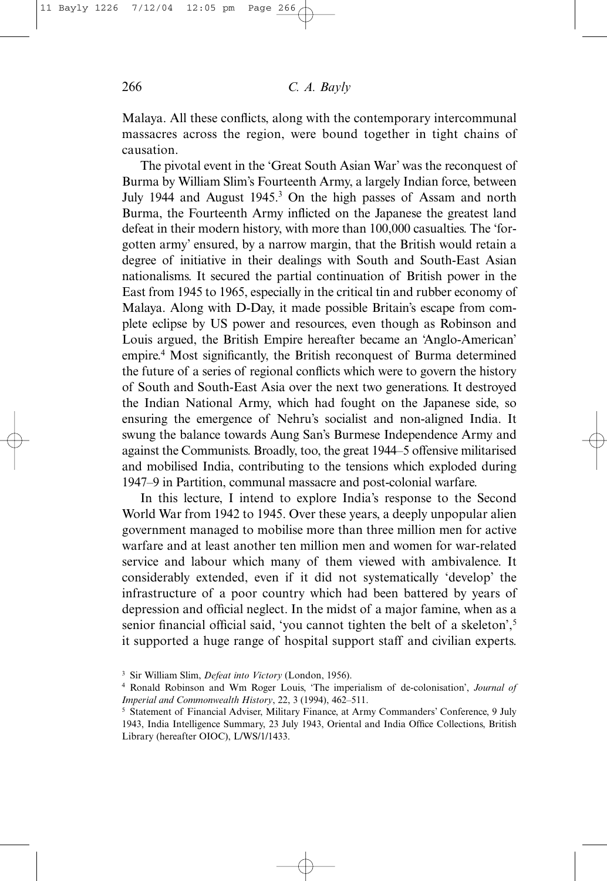Malaya. All these conflicts, along with the contemporary intercommunal massacres across the region, were bound together in tight chains of causation.

The pivotal event in the 'Great South Asian War' was the reconquest of Burma by William Slim's Fourteenth Army, a largely Indian force, between July 1944 and August 1945.3 On the high passes of Assam and north Burma, the Fourteenth Army inflicted on the Japanese the greatest land defeat in their modern history, with more than 100,000 casualties. The 'forgotten army' ensured, by a narrow margin, that the British would retain a degree of initiative in their dealings with South and South-East Asian nationalisms. It secured the partial continuation of British power in the East from 1945 to 1965, especially in the critical tin and rubber economy of Malaya. Along with D-Day, it made possible Britain's escape from complete eclipse by US power and resources, even though as Robinson and Louis argued, the British Empire hereafter became an 'Anglo-American' empire.4 Most significantly, the British reconquest of Burma determined the future of a series of regional conflicts which were to govern the history of South and South-East Asia over the next two generations. It destroyed the Indian National Army, which had fought on the Japanese side, so ensuring the emergence of Nehru's socialist and non-aligned India. It swung the balance towards Aung San's Burmese Independence Army and against the Communists. Broadly, too, the great 1944–5 offensive militarised and mobilised India, contributing to the tensions which exploded during 1947–9 in Partition, communal massacre and post-colonial warfare.

In this lecture, I intend to explore India's response to the Second World War from 1942 to 1945. Over these years, a deeply unpopular alien government managed to mobilise more than three million men for active warfare and at least another ten million men and women for war-related service and labour which many of them viewed with ambivalence. It considerably extended, even if it did not systematically 'develop' the infrastructure of a poor country which had been battered by years of depression and official neglect. In the midst of a major famine, when as a senior financial official said, 'you cannot tighten the belt of a skeleton',<sup>5</sup> it supported a huge range of hospital support staff and civilian experts.

<sup>3</sup> Sir William Slim, *Defeat into Victory* (London, 1956).

<sup>4</sup> Ronald Robinson and Wm Roger Louis, 'The imperialism of de-colonisation', *Journal of Imperial and Commonwealth History*, 22, 3 (1994), 462–511.

<sup>5</sup> Statement of Financial Adviser, Military Finance, at Army Commanders' Conference, 9 July 1943, India Intelligence Summary, 23 July 1943, Oriental and India Office Collections, British Library (hereafter OIOC), L/WS/1/1433.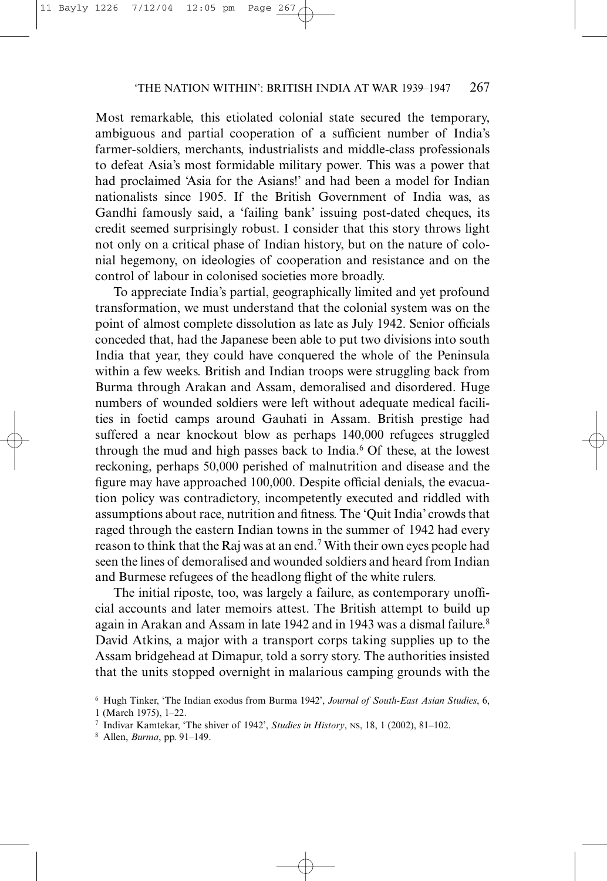Most remarkable, this etiolated colonial state secured the temporary, ambiguous and partial cooperation of a sufficient number of India's farmer-soldiers, merchants, industrialists and middle-class professionals to defeat Asia's most formidable military power. This was a power that had proclaimed 'Asia for the Asians!' and had been a model for Indian nationalists since 1905. If the British Government of India was, as Gandhi famously said, a 'failing bank' issuing post-dated cheques, its credit seemed surprisingly robust. I consider that this story throws light not only on a critical phase of Indian history, but on the nature of colonial hegemony, on ideologies of cooperation and resistance and on the control of labour in colonised societies more broadly.

To appreciate India's partial, geographically limited and yet profound transformation, we must understand that the colonial system was on the point of almost complete dissolution as late as July 1942. Senior officials conceded that, had the Japanese been able to put two divisions into south India that year, they could have conquered the whole of the Peninsula within a few weeks. British and Indian troops were struggling back from Burma through Arakan and Assam, demoralised and disordered. Huge numbers of wounded soldiers were left without adequate medical facilities in foetid camps around Gauhati in Assam. British prestige had suffered a near knockout blow as perhaps 140,000 refugees struggled through the mud and high passes back to India.<sup>6</sup> Of these, at the lowest reckoning, perhaps 50,000 perished of malnutrition and disease and the figure may have approached 100,000. Despite official denials, the evacuation policy was contradictory, incompetently executed and riddled with assumptions about race, nutrition and fitness. The 'Quit India' crowds that raged through the eastern Indian towns in the summer of 1942 had every reason to think that the Raj was at an end.7 With their own eyes people had seen the lines of demoralised and wounded soldiers and heard from Indian and Burmese refugees of the headlong flight of the white rulers.

The initial riposte, too, was largely a failure, as contemporary unofficial accounts and later memoirs attest. The British attempt to build up again in Arakan and Assam in late 1942 and in 1943 was a dismal failure.<sup>8</sup> David Atkins, a major with a transport corps taking supplies up to the Assam bridgehead at Dimapur, told a sorry story. The authorities insisted that the units stopped overnight in malarious camping grounds with the

<sup>6</sup> Hugh Tinker, 'The Indian exodus from Burma 1942', *Journal of South-East Asian Studies*, 6, 1 (March 1975), 1–22.

<sup>7</sup> Indivar Kamtekar, 'The shiver of 1942', *Studies in History*, NS, 18, 1 (2002), 81–102.

<sup>8</sup> Allen, *Burma*, pp. 91–149.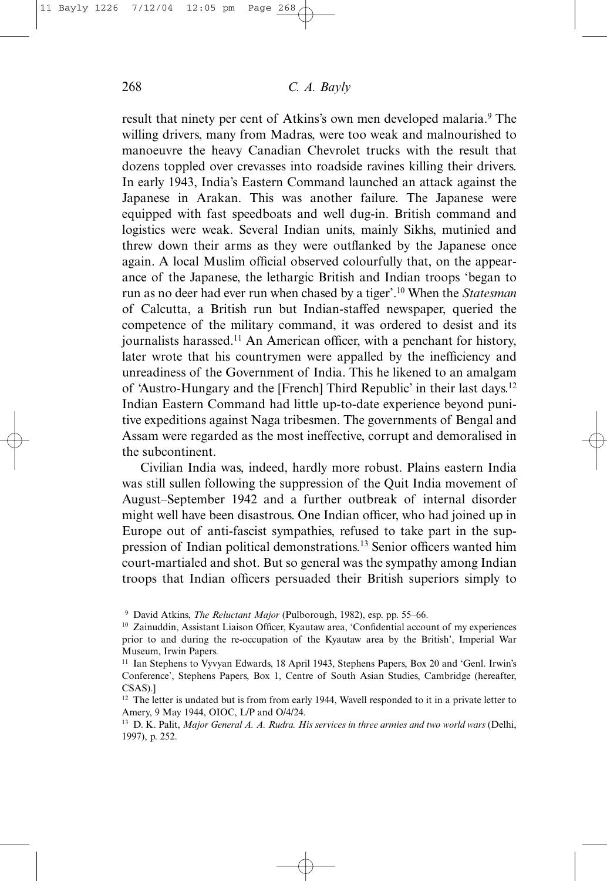result that ninety per cent of Atkins's own men developed malaria.<sup>9</sup> The willing drivers, many from Madras, were too weak and malnourished to manoeuvre the heavy Canadian Chevrolet trucks with the result that dozens toppled over crevasses into roadside ravines killing their drivers. In early 1943, India's Eastern Command launched an attack against the Japanese in Arakan. This was another failure. The Japanese were equipped with fast speedboats and well dug-in. British command and logistics were weak. Several Indian units, mainly Sikhs, mutinied and threw down their arms as they were outflanked by the Japanese once again. A local Muslim official observed colourfully that, on the appearance of the Japanese, the lethargic British and Indian troops 'began to run as no deer had ever run when chased by a tiger'.10 When the *Statesman* of Calcutta, a British run but Indian-staffed newspaper, queried the competence of the military command, it was ordered to desist and its journalists harassed.11 An American officer, with a penchant for history, later wrote that his countrymen were appalled by the inefficiency and unreadiness of the Government of India. This he likened to an amalgam of 'Austro-Hungary and the [French] Third Republic' in their last days.12 Indian Eastern Command had little up-to-date experience beyond punitive expeditions against Naga tribesmen. The governments of Bengal and Assam were regarded as the most ineffective, corrupt and demoralised in the subcontinent.

Civilian India was, indeed, hardly more robust. Plains eastern India was still sullen following the suppression of the Quit India movement of August–September 1942 and a further outbreak of internal disorder might well have been disastrous. One Indian officer, who had joined up in Europe out of anti-fascist sympathies, refused to take part in the suppression of Indian political demonstrations.13 Senior officers wanted him court-martialed and shot. But so general was the sympathy among Indian troops that Indian officers persuaded their British superiors simply to

<sup>9</sup> David Atkins, *The Reluctant Major* (Pulborough, 1982), esp. pp. 55–66.

<sup>&</sup>lt;sup>10</sup> Zainuddin, Assistant Liaison Officer, Kyautaw area, 'Confidential account of my experiences prior to and during the re-occupation of the Kyautaw area by the British', Imperial War Museum, Irwin Papers.

<sup>&</sup>lt;sup>11</sup> Ian Stephens to Vyvyan Edwards, 18 April 1943, Stephens Papers, Box 20 and 'Genl. Irwin's Conference', Stephens Papers, Box 1, Centre of South Asian Studies, Cambridge (hereafter, CSAS).]

<sup>&</sup>lt;sup>12</sup> The letter is undated but is from from early 1944, Wavell responded to it in a private letter to Amery, 9 May 1944, OIOC, L/P and O/4/24.

<sup>13</sup> D. K. Palit, *Major General A. A. Rudra. His services in three armies and two world wars* (Delhi, 1997), p. 252.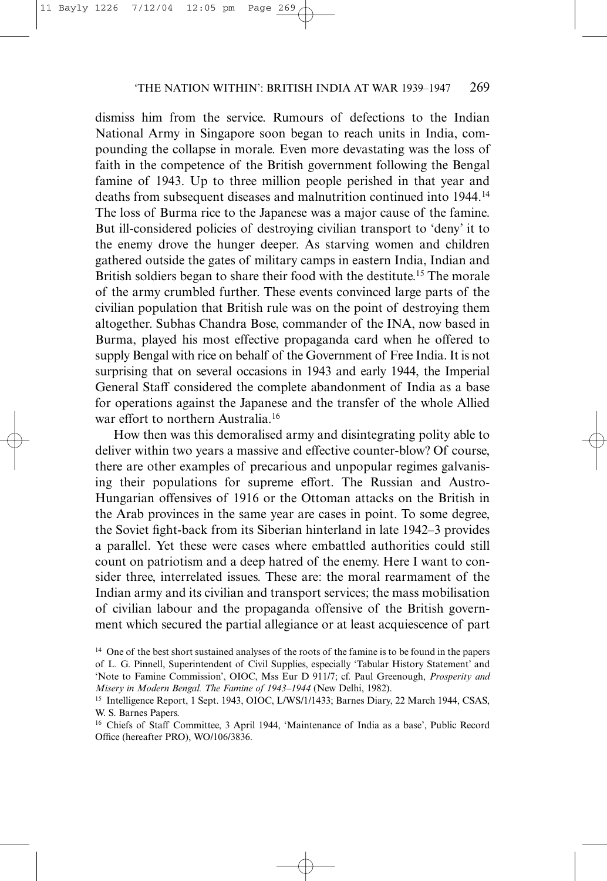dismiss him from the service. Rumours of defections to the Indian National Army in Singapore soon began to reach units in India, compounding the collapse in morale. Even more devastating was the loss of faith in the competence of the British government following the Bengal famine of 1943. Up to three million people perished in that year and deaths from subsequent diseases and malnutrition continued into 1944.14 The loss of Burma rice to the Japanese was a major cause of the famine. But ill-considered policies of destroying civilian transport to 'deny' it to the enemy drove the hunger deeper. As starving women and children gathered outside the gates of military camps in eastern India, Indian and British soldiers began to share their food with the destitute.<sup>15</sup> The morale of the army crumbled further. These events convinced large parts of the civilian population that British rule was on the point of destroying them altogether. Subhas Chandra Bose, commander of the INA, now based in Burma, played his most effective propaganda card when he offered to supply Bengal with rice on behalf of the Government of Free India. It is not surprising that on several occasions in 1943 and early 1944, the Imperial General Staff considered the complete abandonment of India as a base for operations against the Japanese and the transfer of the whole Allied war effort to northern Australia.<sup>16</sup>

How then was this demoralised army and disintegrating polity able to deliver within two years a massive and effective counter-blow? Of course, there are other examples of precarious and unpopular regimes galvanising their populations for supreme effort. The Russian and Austro-Hungarian offensives of 1916 or the Ottoman attacks on the British in the Arab provinces in the same year are cases in point. To some degree, the Soviet fight-back from its Siberian hinterland in late 1942–3 provides a parallel. Yet these were cases where embattled authorities could still count on patriotism and a deep hatred of the enemy. Here I want to consider three, interrelated issues. These are: the moral rearmament of the Indian army and its civilian and transport services; the mass mobilisation of civilian labour and the propaganda offensive of the British government which secured the partial allegiance or at least acquiescence of part

<sup>&</sup>lt;sup>14</sup> One of the best short sustained analyses of the roots of the famine is to be found in the papers of L. G. Pinnell, Superintendent of Civil Supplies, especially 'Tabular History Statement' and 'Note to Famine Commission', OIOC, Mss Eur D 911/7; cf. Paul Greenough, *Prosperity and Misery in Modern Bengal. The Famine of 1943–1944* (New Delhi, 1982).

<sup>&</sup>lt;sup>15</sup> Intelligence Report, 1 Sept. 1943, OIOC, L/WS/1/1433; Barnes Diary, 22 March 1944, CSAS, W. S. Barnes Papers.

<sup>&</sup>lt;sup>16</sup> Chiefs of Staff Committee, 3 April 1944, 'Maintenance of India as a base', Public Record Office (hereafter PRO), WO/106/3836.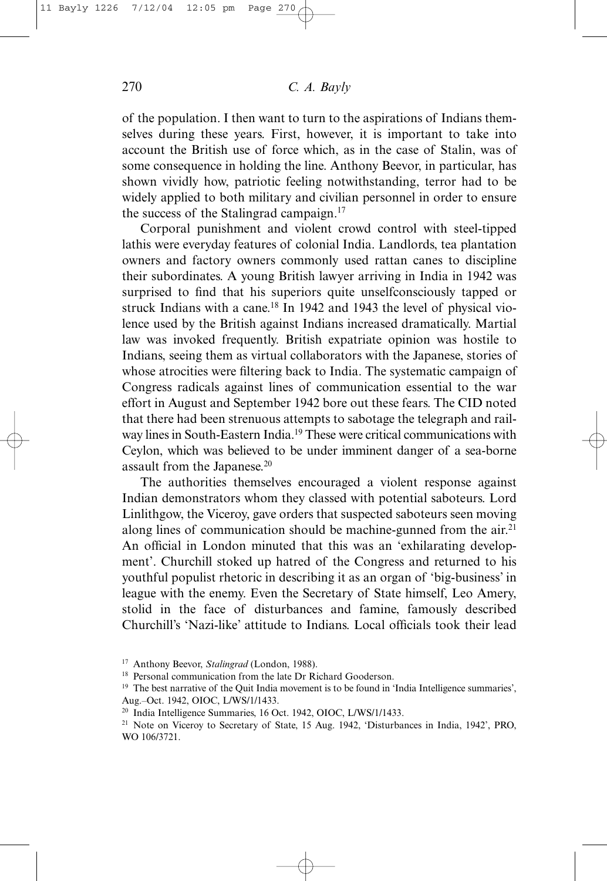of the population. I then want to turn to the aspirations of Indians themselves during these years. First, however, it is important to take into account the British use of force which, as in the case of Stalin, was of some consequence in holding the line. Anthony Beevor, in particular, has shown vividly how, patriotic feeling notwithstanding, terror had to be widely applied to both military and civilian personnel in order to ensure the success of the Stalingrad campaign.<sup>17</sup>

Corporal punishment and violent crowd control with steel-tipped lathis were everyday features of colonial India. Landlords, tea plantation owners and factory owners commonly used rattan canes to discipline their subordinates. A young British lawyer arriving in India in 1942 was surprised to find that his superiors quite unselfconsciously tapped or struck Indians with a cane.18 In 1942 and 1943 the level of physical violence used by the British against Indians increased dramatically. Martial law was invoked frequently. British expatriate opinion was hostile to Indians, seeing them as virtual collaborators with the Japanese, stories of whose atrocities were filtering back to India. The systematic campaign of Congress radicals against lines of communication essential to the war effort in August and September 1942 bore out these fears. The CID noted that there had been strenuous attempts to sabotage the telegraph and railway lines in South-Eastern India.19 These were critical communications with Ceylon, which was believed to be under imminent danger of a sea-borne assault from the Japanese.<sup>20</sup>

The authorities themselves encouraged a violent response against Indian demonstrators whom they classed with potential saboteurs. Lord Linlithgow, the Viceroy, gave orders that suspected saboteurs seen moving along lines of communication should be machine-gunned from the air. $2<sup>1</sup>$ An official in London minuted that this was an 'exhilarating development'. Churchill stoked up hatred of the Congress and returned to his youthful populist rhetoric in describing it as an organ of 'big-business' in league with the enemy. Even the Secretary of State himself, Leo Amery, stolid in the face of disturbances and famine, famously described Churchill's 'Nazi-like' attitude to Indians. Local officials took their lead

<sup>17</sup> Anthony Beevor, *Stalingrad* (London, 1988).

<sup>&</sup>lt;sup>18</sup> Personal communication from the late Dr Richard Gooderson.

<sup>19</sup> The best narrative of the Quit India movement is to be found in 'India Intelligence summaries', Aug.–Oct. 1942, OIOC, L/WS/1/1433.

<sup>20</sup> India Intelligence Summaries, 16 Oct. 1942, OIOC, L/WS/1/1433.

<sup>21</sup> Note on Viceroy to Secretary of State, 15 Aug. 1942, 'Disturbances in India, 1942', PRO, WO 106/3721.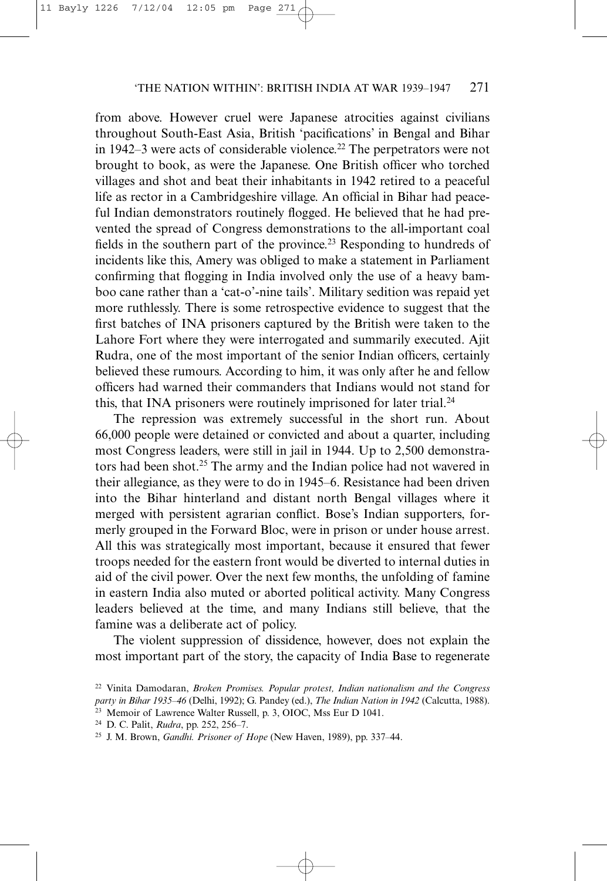from above. However cruel were Japanese atrocities against civilians throughout South-East Asia, British 'pacifications' in Bengal and Bihar in 1942–3 were acts of considerable violence.<sup>22</sup> The perpetrators were not brought to book, as were the Japanese. One British officer who torched villages and shot and beat their inhabitants in 1942 retired to a peaceful life as rector in a Cambridgeshire village. An official in Bihar had peaceful Indian demonstrators routinely flogged. He believed that he had prevented the spread of Congress demonstrations to the all-important coal fields in the southern part of the province.<sup>23</sup> Responding to hundreds of incidents like this, Amery was obliged to make a statement in Parliament confirming that flogging in India involved only the use of a heavy bamboo cane rather than a 'cat-o'-nine tails'. Military sedition was repaid yet more ruthlessly. There is some retrospective evidence to suggest that the first batches of INA prisoners captured by the British were taken to the Lahore Fort where they were interrogated and summarily executed. Ajit Rudra, one of the most important of the senior Indian officers, certainly believed these rumours. According to him, it was only after he and fellow officers had warned their commanders that Indians would not stand for this, that INA prisoners were routinely imprisoned for later trial.<sup>24</sup>

The repression was extremely successful in the short run. About 66,000 people were detained or convicted and about a quarter, including most Congress leaders, were still in jail in 1944. Up to 2,500 demonstrators had been shot.25 The army and the Indian police had not wavered in their allegiance, as they were to do in 1945–6. Resistance had been driven into the Bihar hinterland and distant north Bengal villages where it merged with persistent agrarian conflict. Bose's Indian supporters, formerly grouped in the Forward Bloc, were in prison or under house arrest. All this was strategically most important, because it ensured that fewer troops needed for the eastern front would be diverted to internal duties in aid of the civil power. Over the next few months, the unfolding of famine in eastern India also muted or aborted political activity. Many Congress leaders believed at the time, and many Indians still believe, that the famine was a deliberate act of policy.

The violent suppression of dissidence, however, does not explain the most important part of the story, the capacity of India Base to regenerate

<sup>22</sup> Vinita Damodaran, *Broken Promises. Popular protest, Indian nationalism and the Congress party in Bihar 1935–46* (Delhi, 1992); G. Pandey (ed.), *The Indian Nation in 1942* (Calcutta, 1988).

<sup>23</sup> Memoir of Lawrence Walter Russell, p. 3, OIOC, Mss Eur D 1041.

<sup>24</sup> D. C. Palit, *Rudra*, pp. 252, 256–7.

<sup>25</sup> J. M. Brown, *Gandhi. Prisoner of Hope* (New Haven, 1989), pp. 337–44.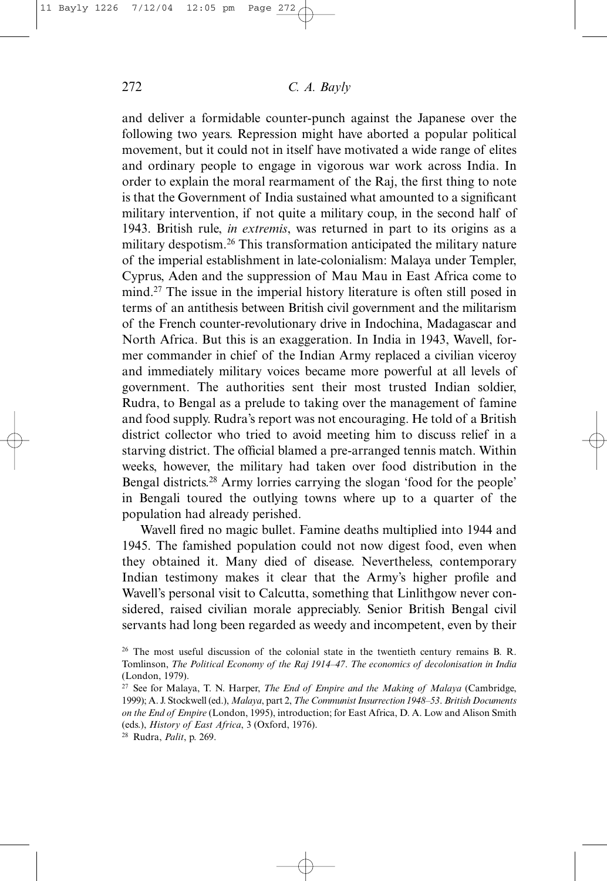and deliver a formidable counter-punch against the Japanese over the following two years. Repression might have aborted a popular political movement, but it could not in itself have motivated a wide range of elites and ordinary people to engage in vigorous war work across India. In order to explain the moral rearmament of the Raj, the first thing to note is that the Government of India sustained what amounted to a significant military intervention, if not quite a military coup, in the second half of 1943. British rule, *in extremis*, was returned in part to its origins as a military despotism.26 This transformation anticipated the military nature of the imperial establishment in late-colonialism: Malaya under Templer, Cyprus, Aden and the suppression of Mau Mau in East Africa come to mind.27 The issue in the imperial history literature is often still posed in terms of an antithesis between British civil government and the militarism of the French counter-revolutionary drive in Indochina, Madagascar and North Africa. But this is an exaggeration. In India in 1943, Wavell, former commander in chief of the Indian Army replaced a civilian viceroy and immediately military voices became more powerful at all levels of government. The authorities sent their most trusted Indian soldier, Rudra, to Bengal as a prelude to taking over the management of famine and food supply. Rudra's report was not encouraging. He told of a British district collector who tried to avoid meeting him to discuss relief in a starving district. The official blamed a pre-arranged tennis match. Within weeks, however, the military had taken over food distribution in the Bengal districts.<sup>28</sup> Army lorries carrying the slogan 'food for the people' in Bengali toured the outlying towns where up to a quarter of the population had already perished.

Wavell fired no magic bullet. Famine deaths multiplied into 1944 and 1945. The famished population could not now digest food, even when they obtained it. Many died of disease. Nevertheless, contemporary Indian testimony makes it clear that the Army's higher profile and Wavell's personal visit to Calcutta, something that Linlithgow never considered, raised civilian morale appreciably. Senior British Bengal civil servants had long been regarded as weedy and incompetent, even by their

<sup>&</sup>lt;sup>26</sup> The most useful discussion of the colonial state in the twentieth century remains B. R. Tomlinson, *The Political Economy of the Raj 1914–47*. *The economics of decolonisation in India* (London, 1979).

<sup>27</sup> See for Malaya, T. N. Harper, *The End of Empire and the Making of Malaya* (Cambridge, 1999); A. J. Stockwell (ed.), *Malaya*, part 2, *The Communist Insurrection 1948–53*. *British Documents on the End of Empire* (London, 1995), introduction; for East Africa, D. A. Low and Alison Smith (eds.), *History of East Africa*, 3 (Oxford, 1976).

<sup>28</sup> Rudra, *Palit*, p. 269.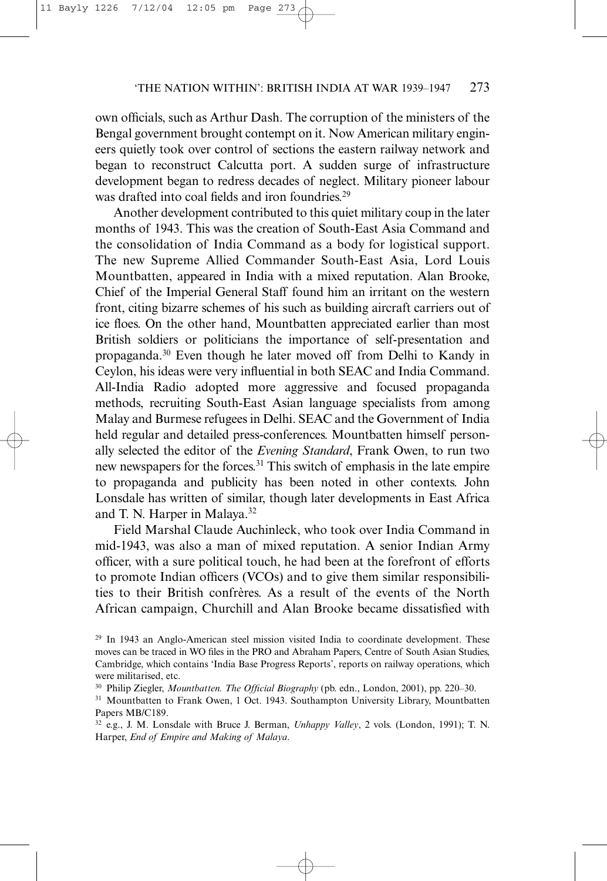own officials, such as Arthur Dash. The corruption of the ministers of the Bengal government brought contempt on it. Now American military engineers quietly took over control of sections the eastern railway network and began to reconstruct Calcutta port. A sudden surge of infrastructure development began to redress decades of neglect. Military pioneer labour was drafted into coal fields and iron foundries.<sup>29</sup>

Another development contributed to this quiet military coup in the later months of 1943. This was the creation of South-East Asia Command and the consolidation of India Command as a body for logistical support. The new Supreme Allied Commander South-East Asia, Lord Louis Mountbatten, appeared in India with a mixed reputation. Alan Brooke, Chief of the Imperial General Staff found him an irritant on the western front, citing bizarre schemes of his such as building aircraft carriers out of ice floes. On the other hand, Mountbatten appreciated earlier than most British soldiers or politicians the importance of self-presentation and propaganda.30 Even though he later moved off from Delhi to Kandy in Ceylon, his ideas were very influential in both SEAC and India Command. All-India Radio adopted more aggressive and focused propaganda methods, recruiting South-East Asian language specialists from among Malay and Burmese refugees in Delhi. SEAC and the Government of India held regular and detailed press-conferences. Mountbatten himself personally selected the editor of the *Evening Standard*, Frank Owen, to run two new newspapers for the forces.31 This switch of emphasis in the late empire to propaganda and publicity has been noted in other contexts. John Lonsdale has written of similar, though later developments in East Africa and T. N. Harper in Malaya.32

Field Marshal Claude Auchinleck, who took over India Command in mid-1943, was also a man of mixed reputation. A senior Indian Army officer, with a sure political touch, he had been at the forefront of efforts to promote Indian officers (VCOs) and to give them similar responsibilities to their British confrères. As a result of the events of the North African campaign, Churchill and Alan Brooke became dissatisfied with

- <sup>30</sup> Philip Ziegler, *Mountbatten. The Official Biography* (pb. edn., London, 2001), pp. 220–30.
- <sup>31</sup> Mountbatten to Frank Owen, 1 Oct. 1943. Southampton University Library, Mountbatten Papers MB/C189.
- <sup>32</sup> e.g., J. M. Lonsdale with Bruce J. Berman, *Unhappy Valley*, 2 vols. (London, 1991); T. N. Harper, *End of Empire and Making of Malaya*.

<sup>29</sup> In 1943 an Anglo-American steel mission visited India to coordinate development. These moves can be traced in WO files in the PRO and Abraham Papers, Centre of South Asian Studies, Cambridge, which contains 'India Base Progress Reports', reports on railway operations, which were militarised, etc.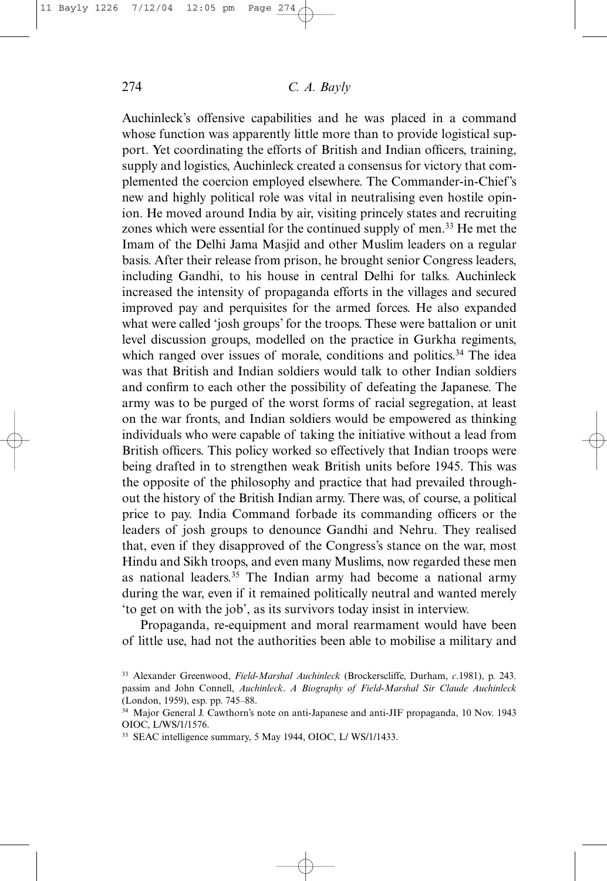Auchinleck's offensive capabilities and he was placed in a command whose function was apparently little more than to provide logistical support. Yet coordinating the efforts of British and Indian officers, training, supply and logistics, Auchinleck created a consensus for victory that complemented the coercion employed elsewhere. The Commander-in-Chief's new and highly political role was vital in neutralising even hostile opinion. He moved around India by air, visiting princely states and recruiting zones which were essential for the continued supply of men.<sup>33</sup> He met the Imam of the Delhi Jama Masjid and other Muslim leaders on a regular basis. After their release from prison, he brought senior Congress leaders, including Gandhi, to his house in central Delhi for talks. Auchinleck increased the intensity of propaganda efforts in the villages and secured improved pay and perquisites for the armed forces. He also expanded what were called 'josh groups' for the troops. These were battalion or unit level discussion groups, modelled on the practice in Gurkha regiments, which ranged over issues of morale, conditions and politics.<sup>34</sup> The idea was that British and Indian soldiers would talk to other Indian soldiers and confirm to each other the possibility of defeating the Japanese. The army was to be purged of the worst forms of racial segregation, at least on the war fronts, and Indian soldiers would be empowered as thinking individuals who were capable of taking the initiative without a lead from British officers. This policy worked so effectively that Indian troops were being drafted in to strengthen weak British units before 1945. This was the opposite of the philosophy and practice that had prevailed throughout the history of the British Indian army. There was, of course, a political price to pay. India Command forbade its commanding officers or the leaders of josh groups to denounce Gandhi and Nehru. They realised that, even if they disapproved of the Congress's stance on the war, most Hindu and Sikh troops, and even many Muslims, now regarded these men as national leaders.35 The Indian army had become a national army during the war, even if it remained politically neutral and wanted merely 'to get on with the job', as its survivors today insist in interview.

Propaganda, re-equipment and moral rearmament would have been of little use, had not the authorities been able to mobilise a military and

<sup>33</sup> Alexander Greenwood, *Field-Marshal Auchinleck* (Brockerscliffe, Durham, *c*.1981), p. 243. passim and John Connell, *Auchinleck*. *A Biography of Field-Marshal Sir Claude Auchinleck* (London, 1959), esp. pp. 745–88.

<sup>34</sup> Major General J. Cawthorn's note on anti-Japanese and anti-JIF propaganda, 10 Nov. 1943 OIOC, L/WS/1/1576.

<sup>35</sup> SEAC intelligence summary, 5 May 1944, OIOC, L/ WS/1/1433.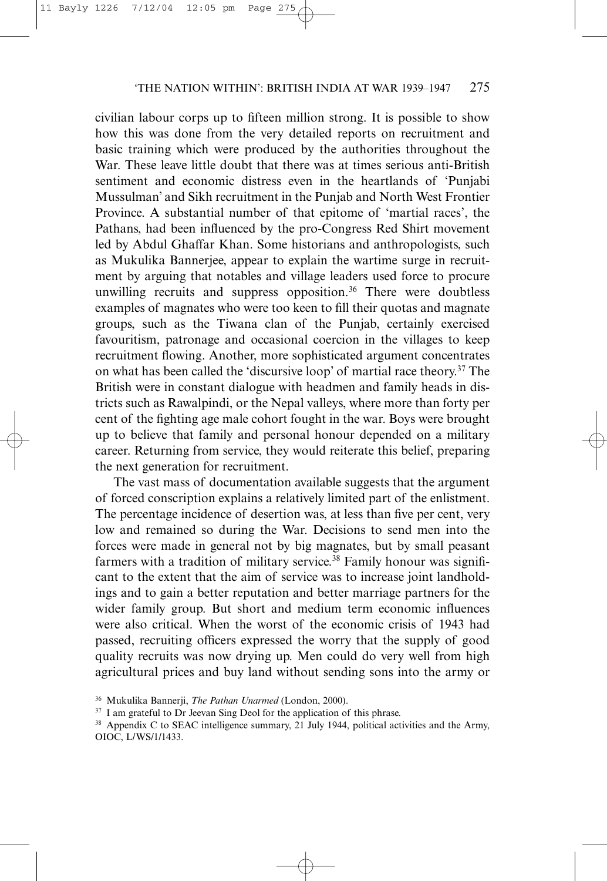civilian labour corps up to fifteen million strong. It is possible to show how this was done from the very detailed reports on recruitment and basic training which were produced by the authorities throughout the War. These leave little doubt that there was at times serious anti-British sentiment and economic distress even in the heartlands of 'Punjabi Mussulman' and Sikh recruitment in the Punjab and North West Frontier Province. A substantial number of that epitome of 'martial races', the Pathans, had been influenced by the pro-Congress Red Shirt movement led by Abdul Ghaffar Khan. Some historians and anthropologists, such as Mukulika Bannerjee, appear to explain the wartime surge in recruitment by arguing that notables and village leaders used force to procure unwilling recruits and suppress opposition.<sup>36</sup> There were doubtless examples of magnates who were too keen to fill their quotas and magnate groups, such as the Tiwana clan of the Punjab, certainly exercised favouritism, patronage and occasional coercion in the villages to keep recruitment flowing. Another, more sophisticated argument concentrates on what has been called the 'discursive loop' of martial race theory.37 The British were in constant dialogue with headmen and family heads in districts such as Rawalpindi, or the Nepal valleys, where more than forty per cent of the fighting age male cohort fought in the war. Boys were brought up to believe that family and personal honour depended on a military career. Returning from service, they would reiterate this belief, preparing the next generation for recruitment.

The vast mass of documentation available suggests that the argument of forced conscription explains a relatively limited part of the enlistment. The percentage incidence of desertion was, at less than five per cent, very low and remained so during the War. Decisions to send men into the forces were made in general not by big magnates, but by small peasant farmers with a tradition of military service.<sup>38</sup> Family honour was significant to the extent that the aim of service was to increase joint landholdings and to gain a better reputation and better marriage partners for the wider family group. But short and medium term economic influences were also critical. When the worst of the economic crisis of 1943 had passed, recruiting officers expressed the worry that the supply of good quality recruits was now drying up. Men could do very well from high agricultural prices and buy land without sending sons into the army or

<sup>36</sup> Mukulika Bannerji, *The Pathan Unarmed* (London, 2000).

<sup>&</sup>lt;sup>37</sup> I am grateful to Dr Jeevan Sing Deol for the application of this phrase.

<sup>&</sup>lt;sup>38</sup> Appendix C to SEAC intelligence summary, 21 July 1944, political activities and the Army, OIOC, L/WS/1/1433.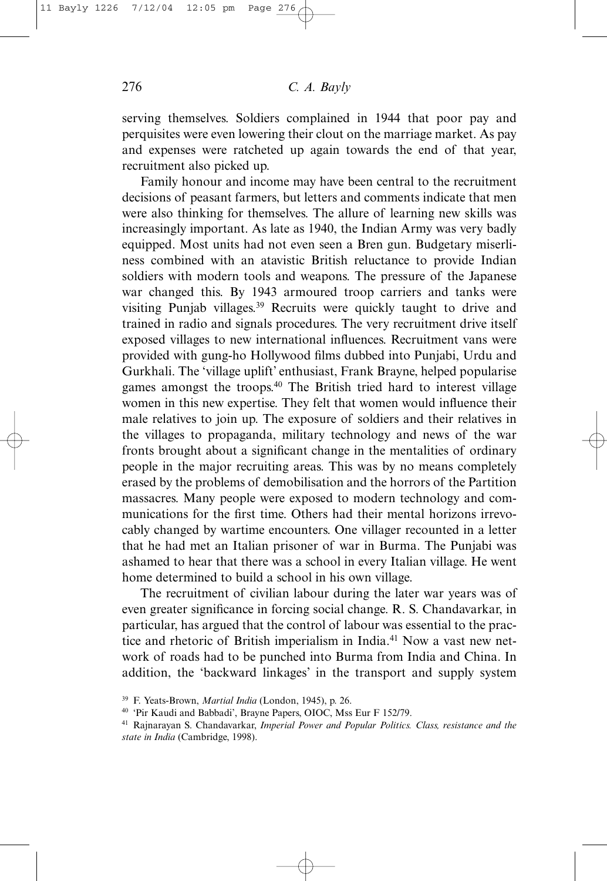serving themselves. Soldiers complained in 1944 that poor pay and perquisites were even lowering their clout on the marriage market. As pay and expenses were ratcheted up again towards the end of that year, recruitment also picked up.

Family honour and income may have been central to the recruitment decisions of peasant farmers, but letters and comments indicate that men were also thinking for themselves. The allure of learning new skills was increasingly important. As late as 1940, the Indian Army was very badly equipped. Most units had not even seen a Bren gun. Budgetary miserliness combined with an atavistic British reluctance to provide Indian soldiers with modern tools and weapons. The pressure of the Japanese war changed this. By 1943 armoured troop carriers and tanks were visiting Punjab villages.<sup>39</sup> Recruits were quickly taught to drive and trained in radio and signals procedures. The very recruitment drive itself exposed villages to new international influences. Recruitment vans were provided with gung-ho Hollywood films dubbed into Punjabi, Urdu and Gurkhali. The 'village uplift' enthusiast, Frank Brayne, helped popularise games amongst the troops.40 The British tried hard to interest village women in this new expertise. They felt that women would influence their male relatives to join up. The exposure of soldiers and their relatives in the villages to propaganda, military technology and news of the war fronts brought about a significant change in the mentalities of ordinary people in the major recruiting areas. This was by no means completely erased by the problems of demobilisation and the horrors of the Partition massacres. Many people were exposed to modern technology and communications for the first time. Others had their mental horizons irrevocably changed by wartime encounters. One villager recounted in a letter that he had met an Italian prisoner of war in Burma. The Punjabi was ashamed to hear that there was a school in every Italian village. He went home determined to build a school in his own village.

The recruitment of civilian labour during the later war years was of even greater significance in forcing social change. R. S. Chandavarkar, in particular, has argued that the control of labour was essential to the practice and rhetoric of British imperialism in India.<sup>41</sup> Now a vast new network of roads had to be punched into Burma from India and China. In addition, the 'backward linkages' in the transport and supply system

<sup>39</sup> F. Yeats-Brown, *Martial India* (London, 1945), p. 26.

<sup>40</sup> 'Pir Kaudi and Babbadi', Brayne Papers, OIOC, Mss Eur F 152/79.

<sup>41</sup> Rajnarayan S. Chandavarkar, *Imperial Power and Popular Politics. Class, resistance and the state in India* (Cambridge, 1998).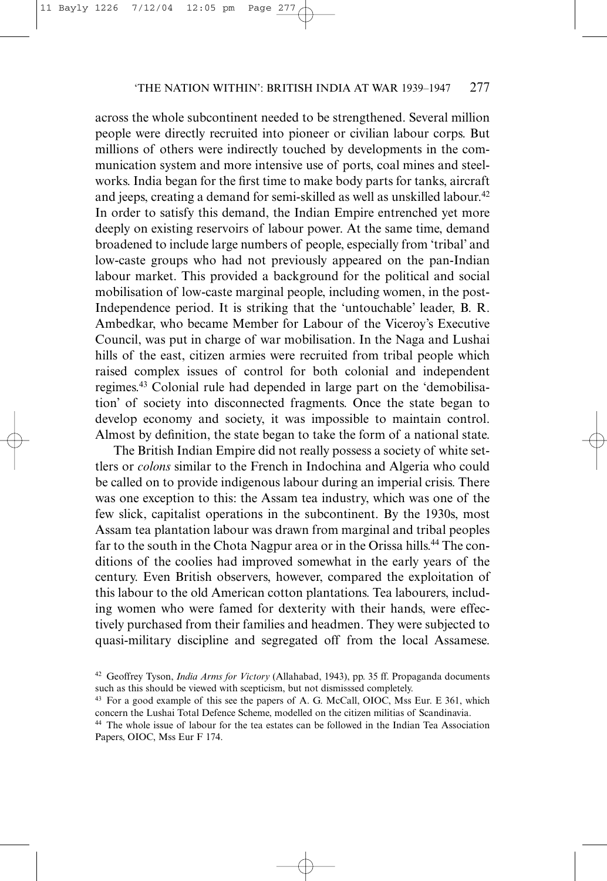across the whole subcontinent needed to be strengthened. Several million people were directly recruited into pioneer or civilian labour corps. But millions of others were indirectly touched by developments in the communication system and more intensive use of ports, coal mines and steelworks. India began for the first time to make body parts for tanks, aircraft and jeeps, creating a demand for semi-skilled as well as unskilled labour.<sup>42</sup> In order to satisfy this demand, the Indian Empire entrenched yet more deeply on existing reservoirs of labour power. At the same time, demand broadened to include large numbers of people, especially from 'tribal' and low-caste groups who had not previously appeared on the pan-Indian labour market. This provided a background for the political and social mobilisation of low-caste marginal people, including women, in the post-Independence period. It is striking that the 'untouchable' leader, B. R. Ambedkar, who became Member for Labour of the Viceroy's Executive Council, was put in charge of war mobilisation. In the Naga and Lushai hills of the east, citizen armies were recruited from tribal people which raised complex issues of control for both colonial and independent regimes.43 Colonial rule had depended in large part on the 'demobilisation' of society into disconnected fragments. Once the state began to develop economy and society, it was impossible to maintain control. Almost by definition, the state began to take the form of a national state.

The British Indian Empire did not really possess a society of white settlers or *colons* similar to the French in Indochina and Algeria who could be called on to provide indigenous labour during an imperial crisis. There was one exception to this: the Assam tea industry, which was one of the few slick, capitalist operations in the subcontinent. By the 1930s, most Assam tea plantation labour was drawn from marginal and tribal peoples far to the south in the Chota Nagpur area or in the Orissa hills.<sup>44</sup> The conditions of the coolies had improved somewhat in the early years of the century. Even British observers, however, compared the exploitation of this labour to the old American cotton plantations. Tea labourers, including women who were famed for dexterity with their hands, were effectively purchased from their families and headmen. They were subjected to quasi-military discipline and segregated off from the local Assamese.

<sup>42</sup> Geoffrey Tyson, *India Arms for Victory* (Allahabad, 1943), pp. 35 ff. Propaganda documents such as this should be viewed with scepticism, but not dismisssed completely.

<sup>43</sup> For a good example of this see the papers of A. G. McCall, OIOC, Mss Eur. E 361, which concern the Lushai Total Defence Scheme, modelled on the citizen militias of Scandinavia.

<sup>44</sup> The whole issue of labour for the tea estates can be followed in the Indian Tea Association Papers, OIOC, Mss Eur F 174.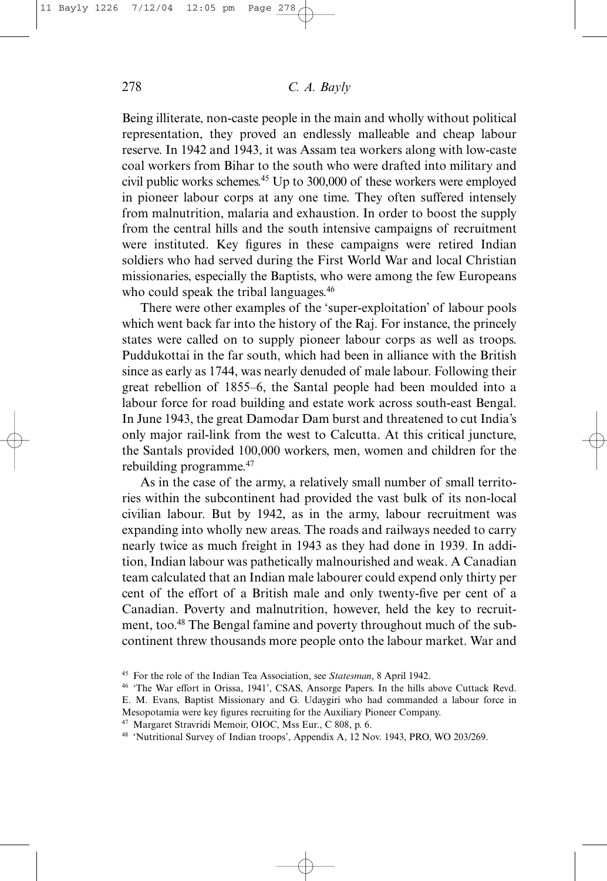Being illiterate, non-caste people in the main and wholly without political representation, they proved an endlessly malleable and cheap labour reserve. In 1942 and 1943, it was Assam tea workers along with low-caste coal workers from Bihar to the south who were drafted into military and civil public works schemes.45 Up to 300,000 of these workers were employed in pioneer labour corps at any one time. They often suffered intensely from malnutrition, malaria and exhaustion. In order to boost the supply from the central hills and the south intensive campaigns of recruitment were instituted. Key figures in these campaigns were retired Indian soldiers who had served during the First World War and local Christian missionaries, especially the Baptists, who were among the few Europeans who could speak the tribal languages.<sup>46</sup>

There were other examples of the 'super-exploitation' of labour pools which went back far into the history of the Raj. For instance, the princely states were called on to supply pioneer labour corps as well as troops. Puddukottai in the far south, which had been in alliance with the British since as early as 1744, was nearly denuded of male labour. Following their great rebellion of 1855–6, the Santal people had been moulded into a labour force for road building and estate work across south-east Bengal. In June 1943, the great Damodar Dam burst and threatened to cut India's only major rail-link from the west to Calcutta. At this critical juncture, the Santals provided 100,000 workers, men, women and children for the rebuilding programme.47

As in the case of the army, a relatively small number of small territories within the subcontinent had provided the vast bulk of its non-local civilian labour. But by 1942, as in the army, labour recruitment was expanding into wholly new areas. The roads and railways needed to carry nearly twice as much freight in 1943 as they had done in 1939. In addition, Indian labour was pathetically malnourished and weak. A Canadian team calculated that an Indian male labourer could expend only thirty per cent of the effort of a British male and only twenty-five per cent of a Canadian. Poverty and malnutrition, however, held the key to recruitment, too.48 The Bengal famine and poverty throughout much of the subcontinent threw thousands more people onto the labour market. War and

<sup>45</sup> For the role of the Indian Tea Association, see *Statesman*, 8 April 1942.

<sup>46</sup> 'The War effort in Orissa, 1941', CSAS, Ansorge Papers. In the hills above Cuttack Revd. E. M. Evans, Baptist Missionary and G. Udaygiri who had commanded a labour force in

Mesopotamia were key figures recruiting for the Auxiliary Pioneer Company.

<sup>47</sup> Margaret Stravridi Memoir, OIOC, Mss Eur., C 808, p. 6.

<sup>48</sup> 'Nutritional Survey of Indian troops', Appendix A, 12 Nov. 1943, PRO, WO 203/269.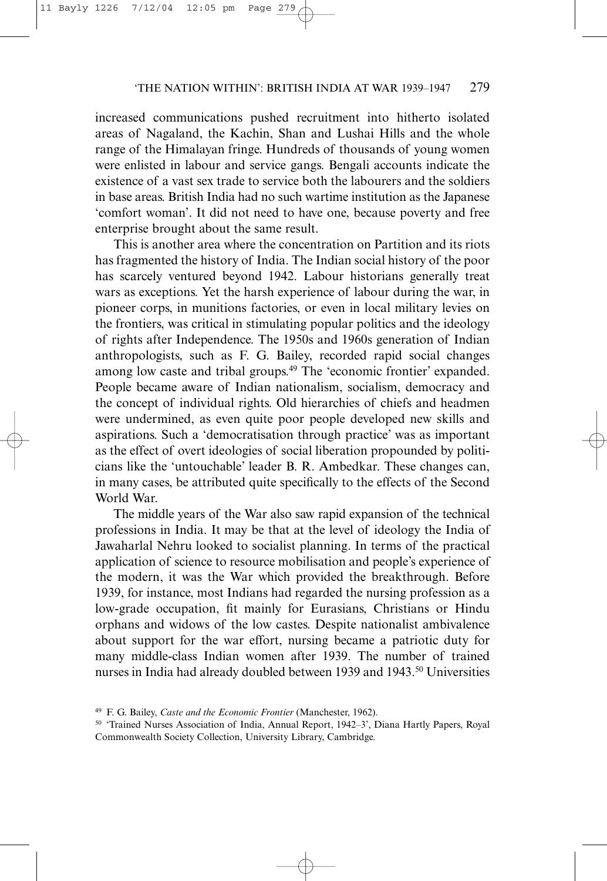increased communications pushed recruitment into hitherto isolated areas of Nagaland, the Kachin, Shan and Lushai Hills and the whole range of the Himalayan fringe. Hundreds of thousands of young women were enlisted in labour and service gangs. Bengali accounts indicate the existence of a vast sex trade to service both the labourers and the soldiers in base areas. British India had no such wartime institution as the Japanese 'comfort woman'. It did not need to have one, because poverty and free enterprise brought about the same result.

This is another area where the concentration on Partition and its riots has fragmented the history of India. The Indian social history of the poor has scarcely ventured beyond 1942. Labour historians generally treat wars as exceptions. Yet the harsh experience of labour during the war, in pioneer corps, in munitions factories, or even in local military levies on the frontiers, was critical in stimulating popular politics and the ideology of rights after Independence. The 1950s and 1960s generation of Indian anthropologists, such as F. G. Bailey, recorded rapid social changes among low caste and tribal groups.<sup>49</sup> The 'economic frontier' expanded. People became aware of Indian nationalism, socialism, democracy and the concept of individual rights. Old hierarchies of chiefs and headmen were undermined, as even quite poor people developed new skills and aspirations. Such a 'democratisation through practice' was as important as the effect of overt ideologies of social liberation propounded by politicians like the 'untouchable' leader B. R. Ambedkar. These changes can, in many cases, be attributed quite specifically to the effects of the Second World War.

The middle years of the War also saw rapid expansion of the technical professions in India. It may be that at the level of ideology the India of Jawaharlal Nehru looked to socialist planning. In terms of the practical application of science to resource mobilisation and people's experience of the modern, it was the War which provided the breakthrough. Before 1939, for instance, most Indians had regarded the nursing profession as a low-grade occupation, fit mainly for Eurasians, Christians or Hindu orphans and widows of the low castes. Despite nationalist ambivalence about support for the war effort, nursing became a patriotic duty for many middle-class Indian women after 1939. The number of trained nurses in India had already doubled between 1939 and 1943.<sup>50</sup> Universities

<sup>49</sup> F. G. Bailey, *Caste and the Economic Frontier* (Manchester, 1962).

<sup>50</sup> 'Trained Nurses Association of India, Annual Report, 1942–3', Diana Hartly Papers, Royal Commonwealth Society Collection, University Library, Cambridge.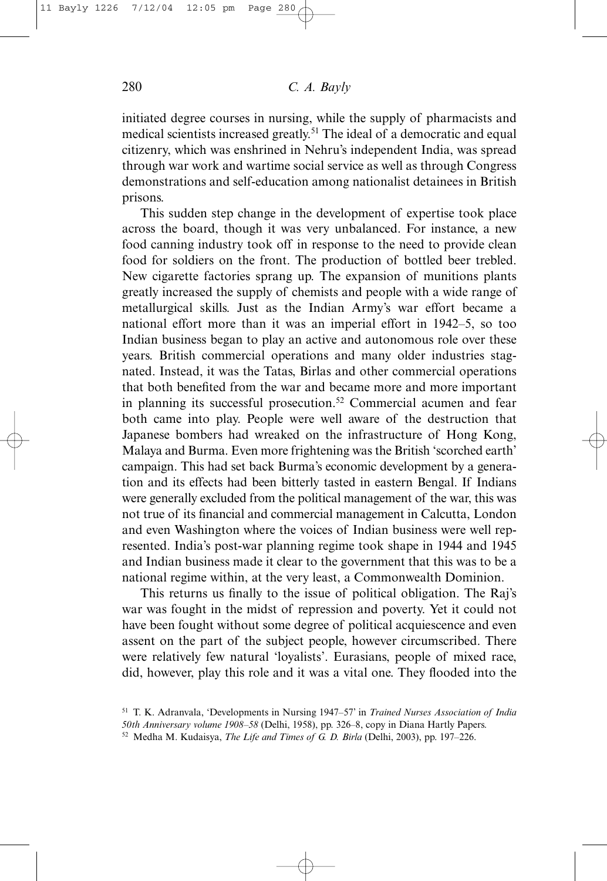initiated degree courses in nursing, while the supply of pharmacists and medical scientists increased greatly.51 The ideal of a democratic and equal citizenry, which was enshrined in Nehru's independent India, was spread through war work and wartime social service as well as through Congress demonstrations and self-education among nationalist detainees in British prisons.

This sudden step change in the development of expertise took place across the board, though it was very unbalanced. For instance, a new food canning industry took off in response to the need to provide clean food for soldiers on the front. The production of bottled beer trebled. New cigarette factories sprang up. The expansion of munitions plants greatly increased the supply of chemists and people with a wide range of metallurgical skills. Just as the Indian Army's war effort became a national effort more than it was an imperial effort in 1942–5, so too Indian business began to play an active and autonomous role over these years. British commercial operations and many older industries stagnated. Instead, it was the Tatas, Birlas and other commercial operations that both benefited from the war and became more and more important in planning its successful prosecution.<sup>52</sup> Commercial acumen and fear both came into play. People were well aware of the destruction that Japanese bombers had wreaked on the infrastructure of Hong Kong, Malaya and Burma. Even more frightening was the British 'scorched earth' campaign. This had set back Burma's economic development by a generation and its effects had been bitterly tasted in eastern Bengal. If Indians were generally excluded from the political management of the war, this was not true of its financial and commercial management in Calcutta, London and even Washington where the voices of Indian business were well represented. India's post-war planning regime took shape in 1944 and 1945 and Indian business made it clear to the government that this was to be a national regime within, at the very least, a Commonwealth Dominion.

This returns us finally to the issue of political obligation. The Raj's war was fought in the midst of repression and poverty. Yet it could not have been fought without some degree of political acquiescence and even assent on the part of the subject people, however circumscribed. There were relatively few natural 'loyalists'. Eurasians, people of mixed race, did, however, play this role and it was a vital one. They flooded into the

<sup>51</sup> T. K. Adranvala, 'Developments in Nursing 1947–57' in *Trained Nurses Association of India 50th Anniversary volume 1908–58* (Delhi, 1958), pp. 326–8, copy in Diana Hartly Papers.

<sup>52</sup> Medha M. Kudaisya, *The Life and Times of G. D. Birla* (Delhi, 2003), pp. 197–226.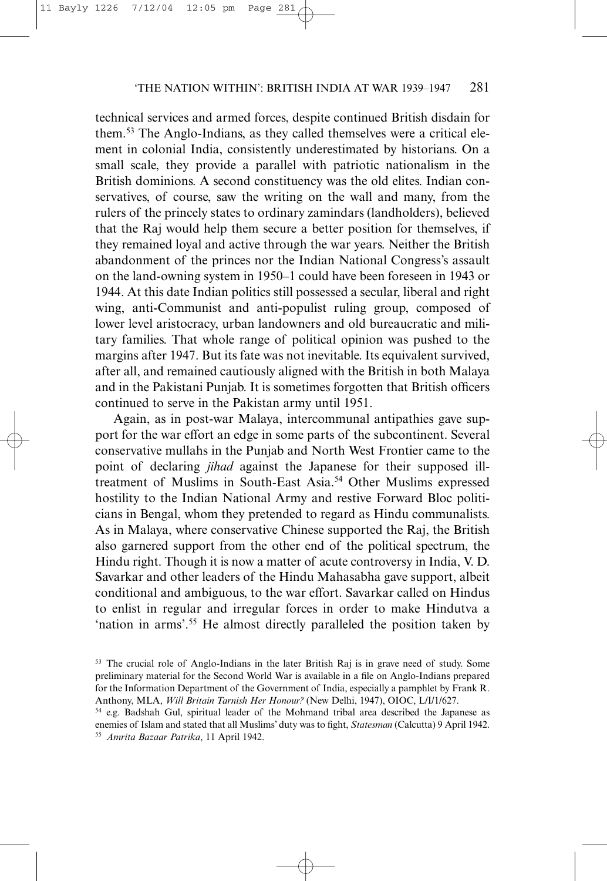technical services and armed forces, despite continued British disdain for them.53 The Anglo-Indians, as they called themselves were a critical element in colonial India, consistently underestimated by historians. On a small scale, they provide a parallel with patriotic nationalism in the British dominions. A second constituency was the old elites. Indian conservatives, of course, saw the writing on the wall and many, from the rulers of the princely states to ordinary zamindars (landholders), believed that the Raj would help them secure a better position for themselves, if they remained loyal and active through the war years. Neither the British abandonment of the princes nor the Indian National Congress's assault on the land-owning system in 1950–1 could have been foreseen in 1943 or 1944. At this date Indian politics still possessed a secular, liberal and right wing, anti-Communist and anti-populist ruling group, composed of lower level aristocracy, urban landowners and old bureaucratic and military families. That whole range of political opinion was pushed to the margins after 1947. But its fate was not inevitable. Its equivalent survived, after all, and remained cautiously aligned with the British in both Malaya and in the Pakistani Punjab. It is sometimes forgotten that British officers continued to serve in the Pakistan army until 1951.

Again, as in post-war Malaya, intercommunal antipathies gave support for the war effort an edge in some parts of the subcontinent. Several conservative mullahs in the Punjab and North West Frontier came to the point of declaring *jihad* against the Japanese for their supposed illtreatment of Muslims in South-East Asia.54 Other Muslims expressed hostility to the Indian National Army and restive Forward Bloc politicians in Bengal, whom they pretended to regard as Hindu communalists. As in Malaya, where conservative Chinese supported the Raj, the British also garnered support from the other end of the political spectrum, the Hindu right. Though it is now a matter of acute controversy in India, V. D. Savarkar and other leaders of the Hindu Mahasabha gave support, albeit conditional and ambiguous, to the war effort. Savarkar called on Hindus to enlist in regular and irregular forces in order to make Hindutva a 'nation in arms'.55 He almost directly paralleled the position taken by

<sup>53</sup> The crucial role of Anglo-Indians in the later British Raj is in grave need of study. Some preliminary material for the Second World War is available in a file on Anglo-Indians prepared for the Information Department of the Government of India, especially a pamphlet by Frank R. Anthony, MLA, *Will Britain Tarnish Her Honour?* (New Delhi, 1947), OIOC, L/I/1/627.

<sup>54</sup> e.g. Badshah Gul, spiritual leader of the Mohmand tribal area described the Japanese as enemies of Islam and stated that all Muslims' duty was to fight, *Statesman* (Calcutta) 9 April 1942. <sup>55</sup> *Amrita Bazaar Patrika*, 11 April 1942.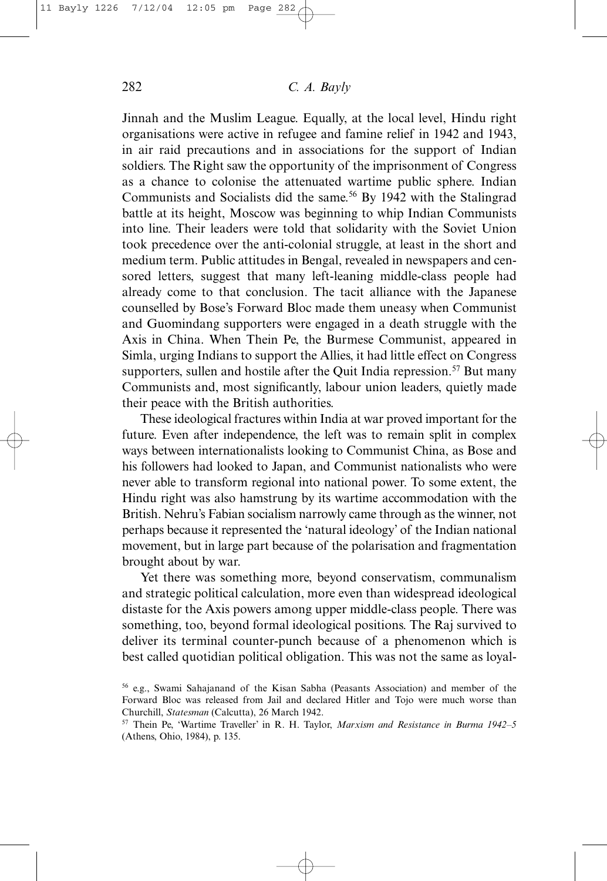Jinnah and the Muslim League. Equally, at the local level, Hindu right organisations were active in refugee and famine relief in 1942 and 1943, in air raid precautions and in associations for the support of Indian soldiers. The Right saw the opportunity of the imprisonment of Congress as a chance to colonise the attenuated wartime public sphere. Indian Communists and Socialists did the same.<sup>56</sup> By 1942 with the Stalingrad battle at its height, Moscow was beginning to whip Indian Communists into line. Their leaders were told that solidarity with the Soviet Union took precedence over the anti-colonial struggle, at least in the short and medium term. Public attitudes in Bengal, revealed in newspapers and censored letters, suggest that many left-leaning middle-class people had already come to that conclusion. The tacit alliance with the Japanese counselled by Bose's Forward Bloc made them uneasy when Communist and Guomindang supporters were engaged in a death struggle with the Axis in China. When Thein Pe, the Burmese Communist, appeared in Simla, urging Indians to support the Allies, it had little effect on Congress supporters, sullen and hostile after the Quit India repression.<sup>57</sup> But many Communists and, most significantly, labour union leaders, quietly made their peace with the British authorities.

These ideological fractures within India at war proved important for the future. Even after independence, the left was to remain split in complex ways between internationalists looking to Communist China, as Bose and his followers had looked to Japan, and Communist nationalists who were never able to transform regional into national power. To some extent, the Hindu right was also hamstrung by its wartime accommodation with the British. Nehru's Fabian socialism narrowly came through as the winner, not perhaps because it represented the 'natural ideology' of the Indian national movement, but in large part because of the polarisation and fragmentation brought about by war.

Yet there was something more, beyond conservatism, communalism and strategic political calculation, more even than widespread ideological distaste for the Axis powers among upper middle-class people. There was something, too, beyond formal ideological positions. The Raj survived to deliver its terminal counter-punch because of a phenomenon which is best called quotidian political obligation. This was not the same as loyal-

<sup>56</sup> e.g., Swami Sahajanand of the Kisan Sabha (Peasants Association) and member of the Forward Bloc was released from Jail and declared Hitler and Tojo were much worse than Churchill, *Statesman* (Calcutta), 26 March 1942.

<sup>57</sup> Thein Pe, 'Wartime Traveller' in R. H. Taylor, *Marxism and Resistance in Burma 1942–5* (Athens, Ohio, 1984), p. 135.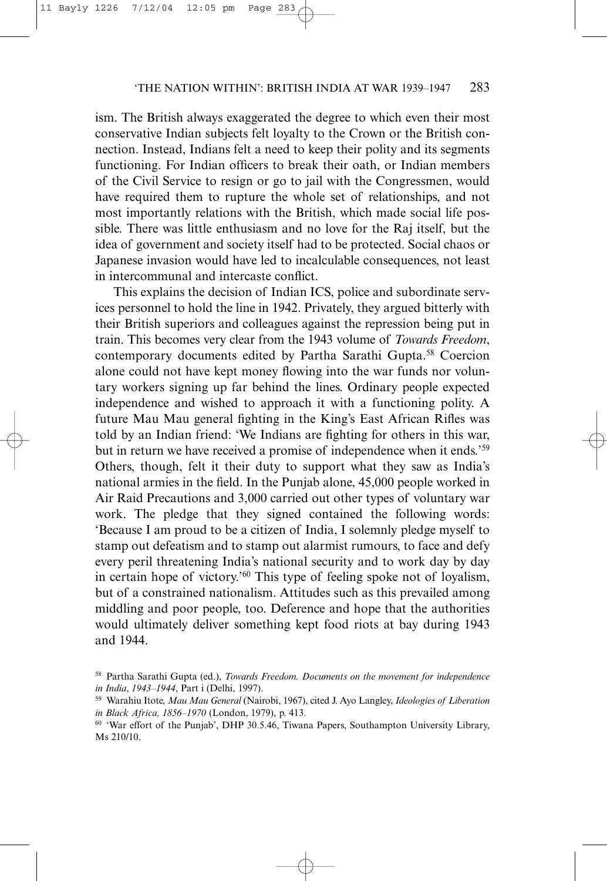ism. The British always exaggerated the degree to which even their most conservative Indian subjects felt loyalty to the Crown or the British connection. Instead, Indians felt a need to keep their polity and its segments functioning. For Indian officers to break their oath, or Indian members of the Civil Service to resign or go to jail with the Congressmen, would have required them to rupture the whole set of relationships, and not most importantly relations with the British, which made social life possible. There was little enthusiasm and no love for the Raj itself, but the idea of government and society itself had to be protected. Social chaos or Japanese invasion would have led to incalculable consequences, not least in intercommunal and intercaste conflict.

This explains the decision of Indian ICS, police and subordinate services personnel to hold the line in 1942. Privately, they argued bitterly with their British superiors and colleagues against the repression being put in train. This becomes very clear from the 1943 volume of *Towards Freedom*, contemporary documents edited by Partha Sarathi Gupta.<sup>58</sup> Coercion alone could not have kept money flowing into the war funds nor voluntary workers signing up far behind the lines. Ordinary people expected independence and wished to approach it with a functioning polity. A future Mau Mau general fighting in the King's East African Rifles was told by an Indian friend: 'We Indians are fighting for others in this war, but in return we have received a promise of independence when it ends.'59 Others, though, felt it their duty to support what they saw as India's national armies in the field. In the Punjab alone, 45,000 people worked in Air Raid Precautions and 3,000 carried out other types of voluntary war work. The pledge that they signed contained the following words: 'Because I am proud to be a citizen of India, I solemnly pledge myself to stamp out defeatism and to stamp out alarmist rumours, to face and defy every peril threatening India's national security and to work day by day in certain hope of victory.'60 This type of feeling spoke not of loyalism, but of a constrained nationalism. Attitudes such as this prevailed among middling and poor people, too. Deference and hope that the authorities would ultimately deliver something kept food riots at bay during 1943 and 1944.

<sup>58</sup> Partha Sarathi Gupta (ed.), *Towards Freedom. Documents on the movement for independence in India*, *1943–1944*, Part i (Delhi, 1997).

<sup>59</sup> Warahiu Itote, *Mau Mau General* (Nairobi, 1967), cited J. Ayo Langley, *Ideologies of Liberation in Black Africa, 1856–1970* (London, 1979), p. 413.

<sup>60</sup> 'War effort of the Punjab', DHP 30.5.46, Tiwana Papers, Southampton University Library, Ms 210/10.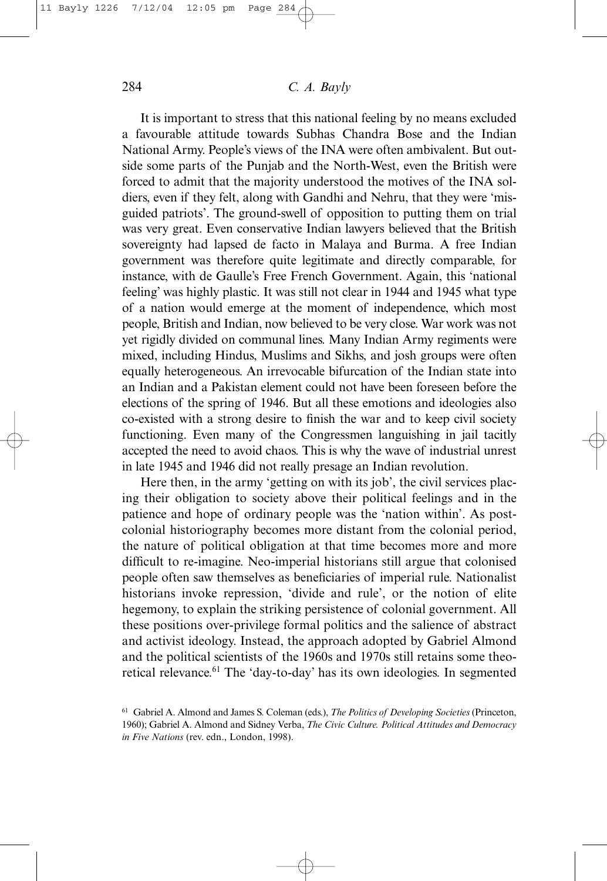It is important to stress that this national feeling by no means excluded a favourable attitude towards Subhas Chandra Bose and the Indian National Army. People's views of the INA were often ambivalent. But outside some parts of the Punjab and the North-West, even the British were forced to admit that the majority understood the motives of the INA soldiers, even if they felt, along with Gandhi and Nehru, that they were 'misguided patriots'. The ground-swell of opposition to putting them on trial was very great. Even conservative Indian lawyers believed that the British sovereignty had lapsed de facto in Malaya and Burma. A free Indian government was therefore quite legitimate and directly comparable, for instance, with de Gaulle's Free French Government. Again, this 'national feeling' was highly plastic. It was still not clear in 1944 and 1945 what type of a nation would emerge at the moment of independence, which most people, British and Indian, now believed to be very close. War work was not yet rigidly divided on communal lines. Many Indian Army regiments were mixed, including Hindus, Muslims and Sikhs, and josh groups were often equally heterogeneous. An irrevocable bifurcation of the Indian state into an Indian and a Pakistan element could not have been foreseen before the elections of the spring of 1946. But all these emotions and ideologies also co-existed with a strong desire to finish the war and to keep civil society functioning. Even many of the Congressmen languishing in jail tacitly accepted the need to avoid chaos. This is why the wave of industrial unrest in late 1945 and 1946 did not really presage an Indian revolution.

Here then, in the army 'getting on with its job', the civil services placing their obligation to society above their political feelings and in the patience and hope of ordinary people was the 'nation within'. As postcolonial historiography becomes more distant from the colonial period, the nature of political obligation at that time becomes more and more difficult to re-imagine. Neo-imperial historians still argue that colonised people often saw themselves as beneficiaries of imperial rule. Nationalist historians invoke repression, 'divide and rule', or the notion of elite hegemony, to explain the striking persistence of colonial government. All these positions over-privilege formal politics and the salience of abstract and activist ideology. Instead, the approach adopted by Gabriel Almond and the political scientists of the 1960s and 1970s still retains some theoretical relevance.61 The 'day-to-day' has its own ideologies. In segmented

<sup>61</sup> Gabriel A. Almond and James S. Coleman (eds.), *The Politics of Developing Societies* (Princeton, 1960); Gabriel A. Almond and Sidney Verba, *The Civic Culture. Political Attitudes and Democracy in Five Nations* (rev. edn., London, 1998).